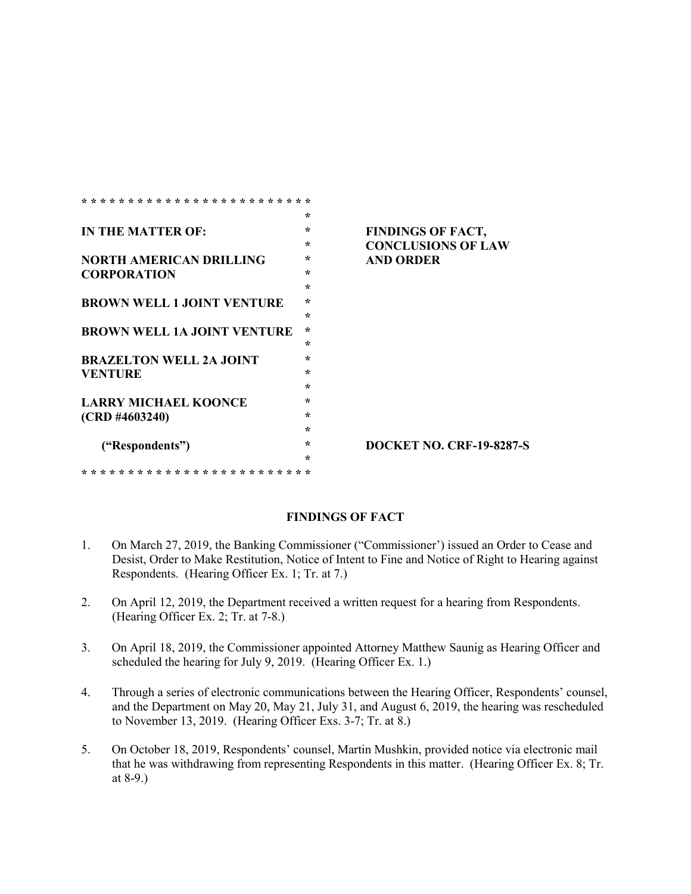|                                    | $\star$ |                                 |
|------------------------------------|---------|---------------------------------|
| <b>IN THE MATTER OF:</b>           | $\star$ | <b>FINDINGS OF FACT,</b>        |
|                                    | ÷       | <b>CONCLUSIONS OF LAW</b>       |
| <b>NORTH AMERICAN DRILLING</b>     | $\star$ | <b>AND ORDER</b>                |
| <b>CORPORATION</b>                 | ÷       |                                 |
|                                    | $\star$ |                                 |
| <b>BROWN WELL 1 JOINT VENTURE</b>  | $\star$ |                                 |
|                                    | $\star$ |                                 |
| <b>BROWN WELL 1A JOINT VENTURE</b> | $\star$ |                                 |
|                                    | $\star$ |                                 |
| <b>BRAZELTON WELL 2A JOINT</b>     | ÷       |                                 |
| <b>VENTURE</b>                     | $\star$ |                                 |
|                                    | $\star$ |                                 |
| <b>LARRY MICHAEL KOONCE</b>        | ÷       |                                 |
| $(CRD$ #4603240)                   | $\star$ |                                 |
|                                    | $\star$ |                                 |
| ("Respondents")                    | ÷       | <b>DOCKET NO. CRF-19-8287-S</b> |
|                                    | ÷       |                                 |
|                                    |         |                                 |

## **FINDINGS OF FACT**

- 1. On March 27, 2019, the Banking Commissioner ("Commissioner') issued an Order to Cease and Desist, Order to Make Restitution, Notice of Intent to Fine and Notice of Right to Hearing against Respondents. (Hearing Officer Ex. 1; Tr. at 7.)
- 2. On April 12, 2019, the Department received a written request for a hearing from Respondents. (Hearing Officer Ex. 2; Tr. at 7-8.)
- 3. On April 18, 2019, the Commissioner appointed Attorney Matthew Saunig as Hearing Officer and scheduled the hearing for July 9, 2019. (Hearing Officer Ex. 1.)
- 4. Through a series of electronic communications between the Hearing Officer, Respondents' counsel, and the Department on May 20, May 21, July 31, and August 6, 2019, the hearing was rescheduled to November 13, 2019. (Hearing Officer Exs. 3-7; Tr. at 8.)
- 5. On October 18, 2019, Respondents' counsel, Martin Mushkin, provided notice via electronic mail that he was withdrawing from representing Respondents in this matter. (Hearing Officer Ex. 8; Tr. at 8-9.)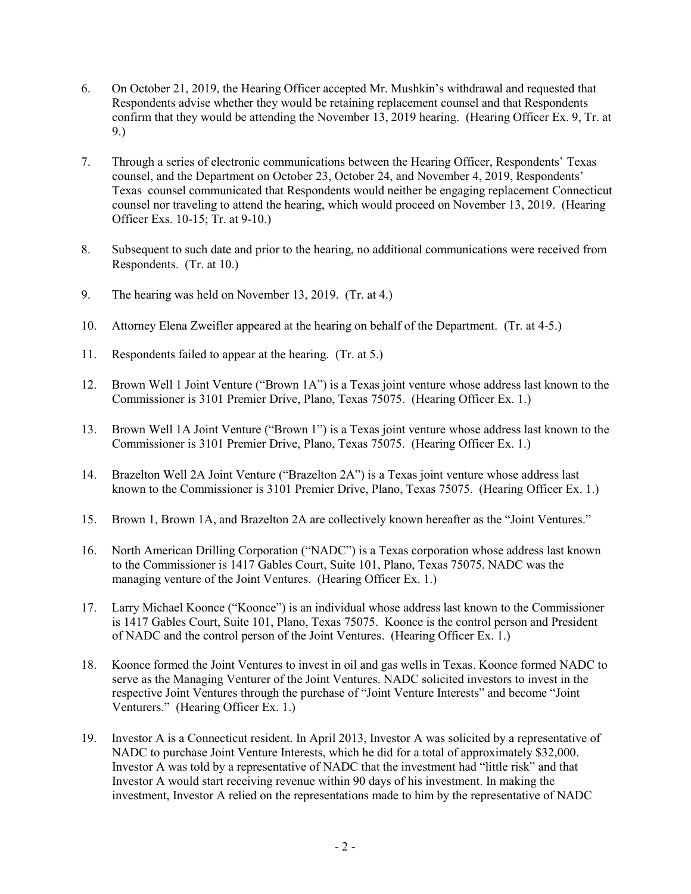- 6. On October 21, 2019, the Hearing Officer accepted Mr. Mushkin's withdrawal and requested that Respondents advise whether they would be retaining replacement counsel and that Respondents confirm that they would be attending the November 13, 2019 hearing. (Hearing Officer Ex. 9, Tr. at 9.)
- 7. Through a series of electronic communications between the Hearing Officer, Respondents' Texas counsel, and the Department on October 23, October 24, and November 4, 2019, Respondents' Texas counsel communicated that Respondents would neither be engaging replacement Connecticut counsel nor traveling to attend the hearing, which would proceed on November 13, 2019. (Hearing Officer Exs. 10-15; Tr. at 9-10.)
- 8. Subsequent to such date and prior to the hearing, no additional communications were received from Respondents. (Tr. at 10.)
- 9. The hearing was held on November 13, 2019. (Tr. at 4.)
- 10. Attorney Elena Zweifler appeared at the hearing on behalf of the Department. (Tr. at 4-5.)
- 11. Respondents failed to appear at the hearing. (Tr. at 5.)
- 12. Brown Well 1 Joint Venture ("Brown 1A") is a Texas joint venture whose address last known to the Commissioner is 3101 Premier Drive, Plano, Texas 75075. (Hearing Officer Ex. 1.)
- 13. Brown Well 1A Joint Venture ("Brown 1") is a Texas joint venture whose address last known to the Commissioner is 3101 Premier Drive, Plano, Texas 75075. (Hearing Officer Ex. 1.)
- 14. Brazelton Well 2A Joint Venture ("Brazelton 2A") is a Texas joint venture whose address last known to the Commissioner is 3101 Premier Drive, Plano, Texas 75075. (Hearing Officer Ex. 1.)
- 15. Brown 1, Brown 1A, and Brazelton 2A are collectively known hereafter as the "Joint Ventures."
- 16. North American Drilling Corporation ("NADC") is a Texas corporation whose address last known to the Commissioner is 1417 Gables Court, Suite 101, Plano, Texas 75075. NADC was the managing venture of the Joint Ventures. (Hearing Officer Ex. 1.)
- 17. Larry Michael Koonce ("Koonce") is an individual whose address last known to the Commissioner is 1417 Gables Court, Suite 101, Plano, Texas 75075. Koonce is the control person and President of NADC and the control person of the Joint Ventures. (Hearing Officer Ex. 1.)
- 18. Koonce formed the Joint Ventures to invest in oil and gas wells in Texas. Koonce formed NADC to serve as the Managing Venturer of the Joint Ventures. NADC solicited investors to invest in the respective Joint Ventures through the purchase of "Joint Venture Interests" and become "Joint Venturers." (Hearing Officer Ex. 1.)
- 19. Investor A is a Connecticut resident. In April 2013, Investor A was solicited by a representative of NADC to purchase Joint Venture Interests, which he did for a total of approximately \$32,000. Investor A was told by a representative of NADC that the investment had "little risk" and that Investor A would start receiving revenue within 90 days of his investment. In making the investment, Investor A relied on the representations made to him by the representative of NADC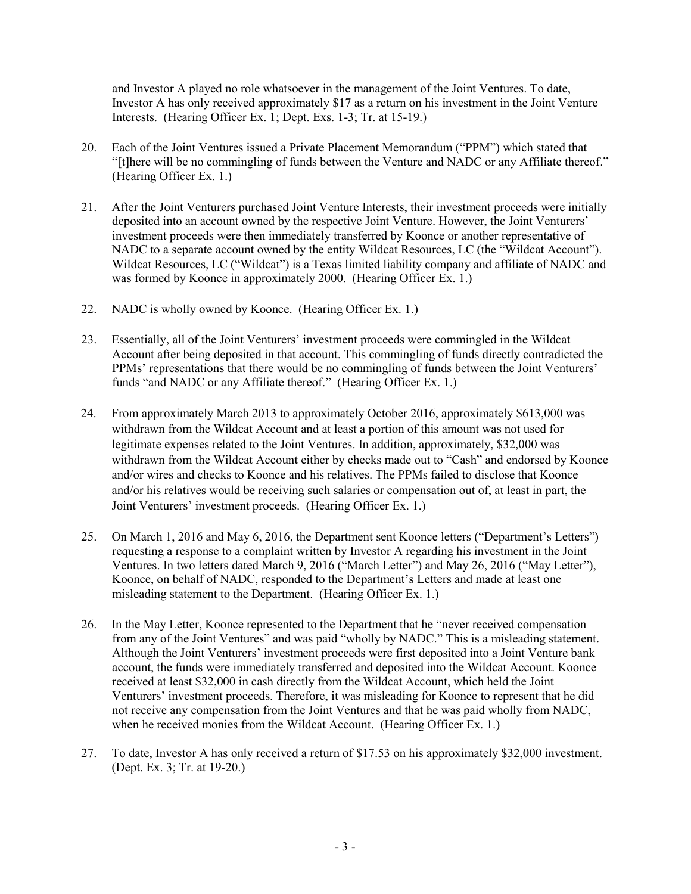and Investor A played no role whatsoever in the management of the Joint Ventures. To date, Investor A has only received approximately \$17 as a return on his investment in the Joint Venture Interests. (Hearing Officer Ex. 1; Dept. Exs. 1-3; Tr. at 15-19.)

- 20. Each of the Joint Ventures issued a Private Placement Memorandum ("PPM") which stated that "[t]here will be no commingling of funds between the Venture and NADC or any Affiliate thereof." (Hearing Officer Ex. 1.)
- 21. After the Joint Venturers purchased Joint Venture Interests, their investment proceeds were initially deposited into an account owned by the respective Joint Venture. However, the Joint Venturers' investment proceeds were then immediately transferred by Koonce or another representative of NADC to a separate account owned by the entity Wildcat Resources, LC (the "Wildcat Account"). Wildcat Resources, LC ("Wildcat") is a Texas limited liability company and affiliate of NADC and was formed by Koonce in approximately 2000. (Hearing Officer Ex. 1.)
- 22. NADC is wholly owned by Koonce. (Hearing Officer Ex. 1.)
- 23. Essentially, all of the Joint Venturers' investment proceeds were commingled in the Wildcat Account after being deposited in that account. This commingling of funds directly contradicted the PPMs' representations that there would be no commingling of funds between the Joint Venturers' funds "and NADC or any Affiliate thereof." (Hearing Officer Ex. 1.)
- 24. From approximately March 2013 to approximately October 2016, approximately \$613,000 was withdrawn from the Wildcat Account and at least a portion of this amount was not used for legitimate expenses related to the Joint Ventures. In addition, approximately, \$32,000 was withdrawn from the Wildcat Account either by checks made out to "Cash" and endorsed by Koonce and/or wires and checks to Koonce and his relatives. The PPMs failed to disclose that Koonce and/or his relatives would be receiving such salaries or compensation out of, at least in part, the Joint Venturers' investment proceeds. (Hearing Officer Ex. 1.)
- 25. On March 1, 2016 and May 6, 2016, the Department sent Koonce letters ("Department's Letters") requesting a response to a complaint written by Investor A regarding his investment in the Joint Ventures. In two letters dated March 9, 2016 ("March Letter") and May 26, 2016 ("May Letter"), Koonce, on behalf of NADC, responded to the Department's Letters and made at least one misleading statement to the Department. (Hearing Officer Ex. 1.)
- 26. In the May Letter, Koonce represented to the Department that he "never received compensation from any of the Joint Ventures" and was paid "wholly by NADC." This is a misleading statement. Although the Joint Venturers' investment proceeds were first deposited into a Joint Venture bank account, the funds were immediately transferred and deposited into the Wildcat Account. Koonce received at least \$32,000 in cash directly from the Wildcat Account, which held the Joint Venturers' investment proceeds. Therefore, it was misleading for Koonce to represent that he did not receive any compensation from the Joint Ventures and that he was paid wholly from NADC, when he received monies from the Wildcat Account. (Hearing Officer Ex. 1.)
- 27. To date, Investor A has only received a return of \$17.53 on his approximately \$32,000 investment. (Dept. Ex. 3; Tr. at 19-20.)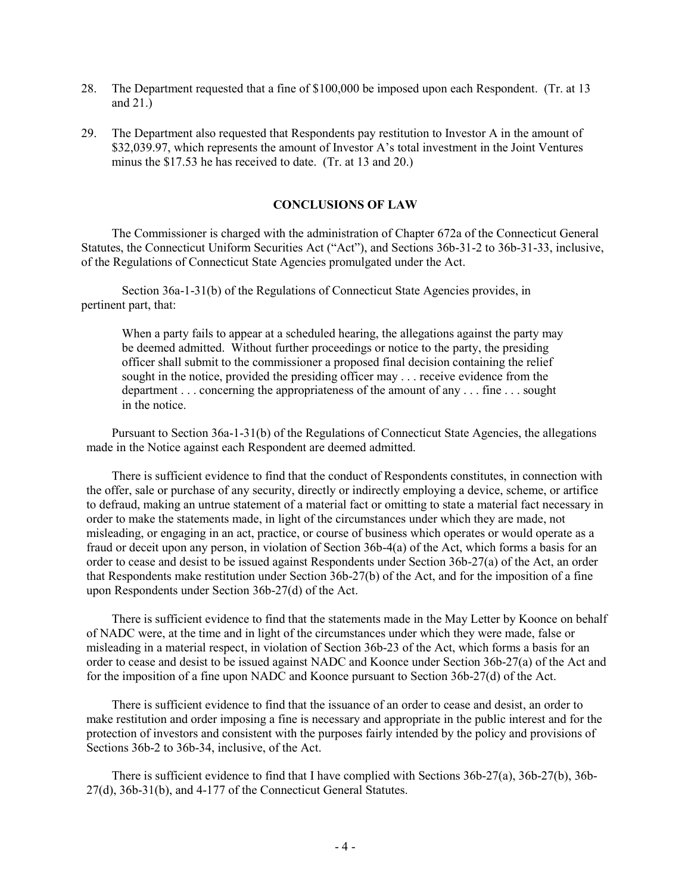- 28. The Department requested that a fine of \$100,000 be imposed upon each Respondent. (Tr. at 13 and 21.)
- 29. The Department also requested that Respondents pay restitution to Investor A in the amount of \$32,039.97, which represents the amount of Investor A's total investment in the Joint Ventures minus the \$17.53 he has received to date. (Tr. at 13 and 20.)

## **CONCLUSIONS OF LAW**

The Commissioner is charged with the administration of Chapter 672a of the Connecticut General Statutes, the Connecticut Uniform Securities Act ("Act"), and Sections 36b-31-2 to 36b-31-33, inclusive, of the Regulations of Connecticut State Agencies promulgated under the Act.

Section 36a-1-31(b) of the Regulations of Connecticut State Agencies provides, in pertinent part, that:

When a party fails to appear at a scheduled hearing, the allegations against the party may be deemed admitted. Without further proceedings or notice to the party, the presiding officer shall submit to the commissioner a proposed final decision containing the relief sought in the notice, provided the presiding officer may . . . receive evidence from the department . . . concerning the appropriateness of the amount of any . . . fine . . . sought in the notice.

Pursuant to Section 36a-1-31(b) of the Regulations of Connecticut State Agencies, the allegations made in the Notice against each Respondent are deemed admitted.

There is sufficient evidence to find that the conduct of Respondents constitutes, in connection with the offer, sale or purchase of any security, directly or indirectly employing a device, scheme, or artifice to defraud, making an untrue statement of a material fact or omitting to state a material fact necessary in order to make the statements made, in light of the circumstances under which they are made, not misleading, or engaging in an act, practice, or course of business which operates or would operate as a fraud or deceit upon any person, in violation of Section 36b-4(a) of the Act, which forms a basis for an order to cease and desist to be issued against Respondents under Section 36b-27(a) of the Act, an order that Respondents make restitution under Section 36b-27(b) of the Act, and for the imposition of a fine upon Respondents under Section 36b-27(d) of the Act.

There is sufficient evidence to find that the statements made in the May Letter by Koonce on behalf of NADC were, at the time and in light of the circumstances under which they were made, false or misleading in a material respect, in violation of Section 36b-23 of the Act, which forms a basis for an order to cease and desist to be issued against NADC and Koonce under Section 36b-27(a) of the Act and for the imposition of a fine upon NADC and Koonce pursuant to Section 36b-27(d) of the Act.

There is sufficient evidence to find that the issuance of an order to cease and desist, an order to make restitution and order imposing a fine is necessary and appropriate in the public interest and for the protection of investors and consistent with the purposes fairly intended by the policy and provisions of Sections 36b-2 to 36b-34, inclusive, of the Act.

There is sufficient evidence to find that I have complied with Sections 36b-27(a), 36b-27(b), 36b-27(d), 36b-31(b), and 4-177 of the Connecticut General Statutes.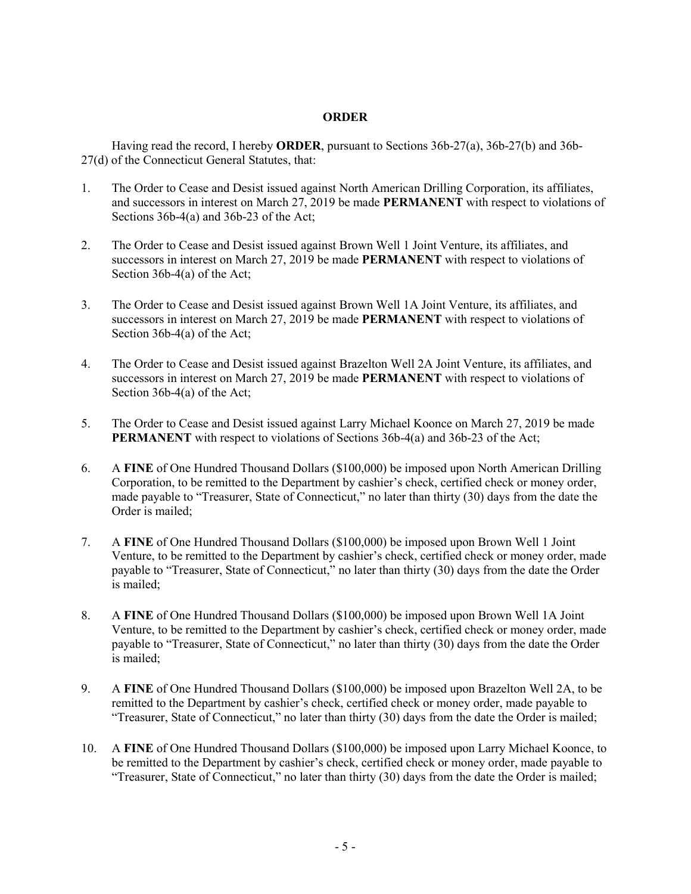## **ORDER**

Having read the record, I hereby **ORDER**, pursuant to Sections 36b-27(a), 36b-27(b) and 36b-27(d) of the Connecticut General Statutes, that:

- 1. The Order to Cease and Desist issued against North American Drilling Corporation, its affiliates, and successors in interest on March 27, 2019 be made **PERMANENT** with respect to violations of Sections 36b-4(a) and 36b-23 of the Act;
- 2. The Order to Cease and Desist issued against Brown Well 1 Joint Venture, its affiliates, and successors in interest on March 27, 2019 be made **PERMANENT** with respect to violations of Section 36b-4(a) of the Act;
- 3. The Order to Cease and Desist issued against Brown Well 1A Joint Venture, its affiliates, and successors in interest on March 27, 2019 be made **PERMANENT** with respect to violations of Section 36b-4(a) of the Act;
- 4. The Order to Cease and Desist issued against Brazelton Well 2A Joint Venture, its affiliates, and successors in interest on March 27, 2019 be made **PERMANENT** with respect to violations of Section 36b-4(a) of the Act;
- 5. The Order to Cease and Desist issued against Larry Michael Koonce on March 27, 2019 be made **PERMANENT** with respect to violations of Sections 36b-4(a) and 36b-23 of the Act;
- 6. A **FINE** of One Hundred Thousand Dollars (\$100,000) be imposed upon North American Drilling Corporation, to be remitted to the Department by cashier's check, certified check or money order, made payable to "Treasurer, State of Connecticut," no later than thirty (30) days from the date the Order is mailed;
- 7. A **FINE** of One Hundred Thousand Dollars (\$100,000) be imposed upon Brown Well 1 Joint Venture, to be remitted to the Department by cashier's check, certified check or money order, made payable to "Treasurer, State of Connecticut," no later than thirty (30) days from the date the Order is mailed;
- 8. A **FINE** of One Hundred Thousand Dollars (\$100,000) be imposed upon Brown Well 1A Joint Venture, to be remitted to the Department by cashier's check, certified check or money order, made payable to "Treasurer, State of Connecticut," no later than thirty (30) days from the date the Order is mailed;
- 9. A **FINE** of One Hundred Thousand Dollars (\$100,000) be imposed upon Brazelton Well 2A, to be remitted to the Department by cashier's check, certified check or money order, made payable to "Treasurer, State of Connecticut," no later than thirty (30) days from the date the Order is mailed;
- 10. A **FINE** of One Hundred Thousand Dollars (\$100,000) be imposed upon Larry Michael Koonce, to be remitted to the Department by cashier's check, certified check or money order, made payable to "Treasurer, State of Connecticut," no later than thirty (30) days from the date the Order is mailed;